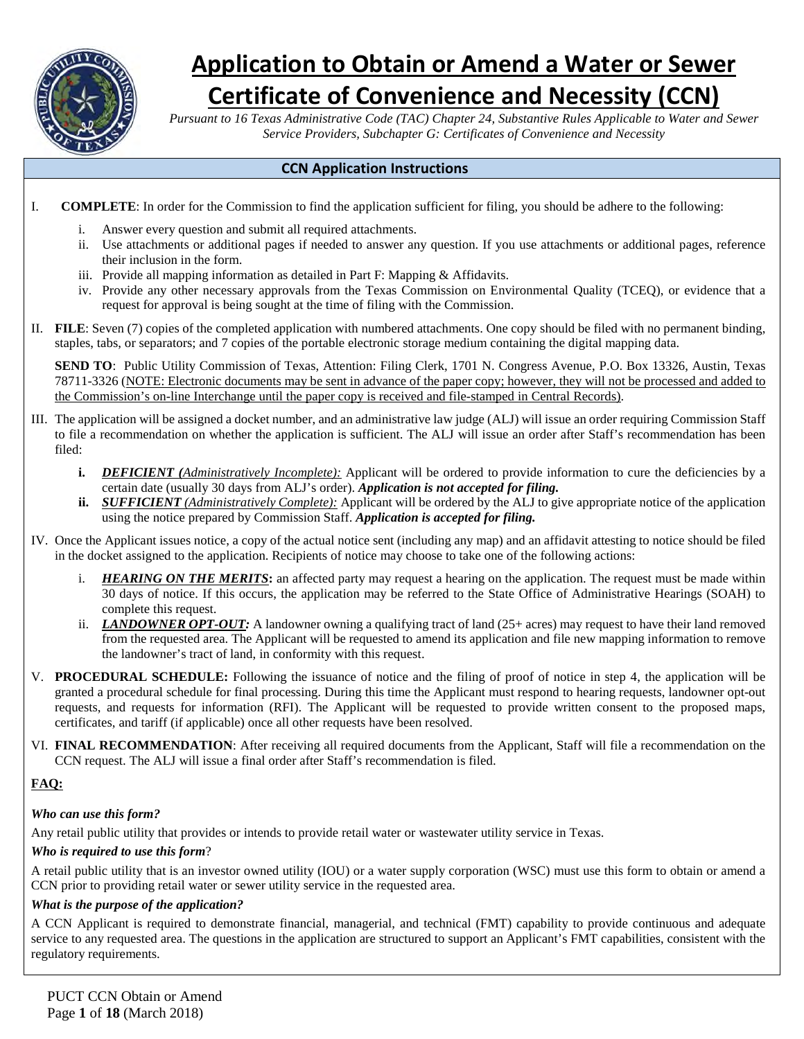

# **Application to Obtain or Amend a Water or Sewer**

# **Certificate of Convenience and Necessity (CCN)**

*Pursuant to 16 Texas Administrative Code (TAC) Chapter 24, Substantive Rules Applicable to Water and Sewer Service Providers, Subchapter G: Certificates of Convenience and Necessity*

#### <span id="page-0-0"></span>**CCN Application Instructions**

- I. **COMPLETE**: In order for the Commission to find the application sufficient for filing, you should be adhere to the following:
	- i. Answer every question and submit all required attachments.
	- ii. Use attachments or additional pages if needed to answer any question. If you use attachments or additional pages, reference their inclusion in the form.
	- iii. Provide all mapping information as detailed in Part F: Mapping & Affidavits.
	- iv. Provide any other necessary approvals from the Texas Commission on Environmental Quality (TCEQ), or evidence that a request for approval is being sought at the time of filing with the Commission.
- II. **FILE**: Seven (7) copies of the completed application with numbered attachments. One copy should be filed with no permanent binding, staples, tabs, or separators; and 7 copies of the portable electronic storage medium containing the digital mapping data.

**SEND TO**: Public Utility Commission of Texas, Attention: Filing Clerk, 1701 N. Congress Avenue, P.O. Box 13326, Austin, Texas 78711-3326 (NOTE: Electronic documents may be sent in advance of the paper copy; however, they will not be processed and added to the Commission's on-line Interchange until the paper copy is received and file-stamped in Central Records).

- III. The application will be assigned a docket number, and an administrative law judge (ALJ) will issue an order requiring Commission Staff to file a recommendation on whether the application is sufficient. The ALJ will issue an order after Staff's recommendation has been filed:
	- **i.** *DEFICIENT (Administratively Incomplete):* Applicant will be ordered to provide information to cure the deficiencies by a certain date (usually 30 days from ALJ's order). *Application is not accepted for filing.*
	- **ii.** *SUFFICIENT (Administratively Complete):* Applicant will be ordered by the ALJ to give appropriate notice of the application using the notice prepared by Commission Staff. *Application is accepted for filing.*
- IV. Once the Applicant issues notice, a copy of the actual notice sent (including any map) and an affidavit attesting to notice should be filed in the docket assigned to the application. Recipients of notice may choose to take one of the following actions:
	- i. *HEARING ON THE MERITS***:** an affected party may request a hearing on the application. The request must be made within 30 days of notice. If this occurs, the application may be referred to the State Office of Administrative Hearings (SOAH) to complete this request.
	- ii. *LANDOWNER OPT-OUT:* A landowner owning a qualifying tract of land (25+ acres) may request to have their land removed from the requested area. The Applicant will be requested to amend its application and file new mapping information to remove the landowner's tract of land, in conformity with this request.
- V. **PROCEDURAL SCHEDULE:** Following the issuance of notice and the filing of proof of notice in step 4, the application will be granted a procedural schedule for final processing. During this time the Applicant must respond to hearing requests, landowner opt-out requests, and requests for information (RFI). The Applicant will be requested to provide written consent to the proposed maps, certificates, and tariff (if applicable) once all other requests have been resolved.
- VI. **FINAL RECOMMENDATION**: After receiving all required documents from the Applicant, Staff will file a recommendation on the CCN request. The ALJ will issue a final order after Staff's recommendation is filed.

## **FAQ:**

#### *Who can use this form?*

Any retail public utility that provides or intends to provide retail water or wastewater utility service in Texas.

#### *Who is required to use this form*?

A retail public utility that is an investor owned utility (IOU) or a water supply corporation (WSC) must use this form to obtain or amend a CCN prior to providing retail water or sewer utility service in the requested area.

#### *What is the purpose of the application?*

A CCN Applicant is required to demonstrate financial, managerial, and technical (FMT) capability to provide continuous and adequate service to any requested area. The questions in the application are structured to support an Applicant's FMT capabilities, consistent with the regulatory requirements.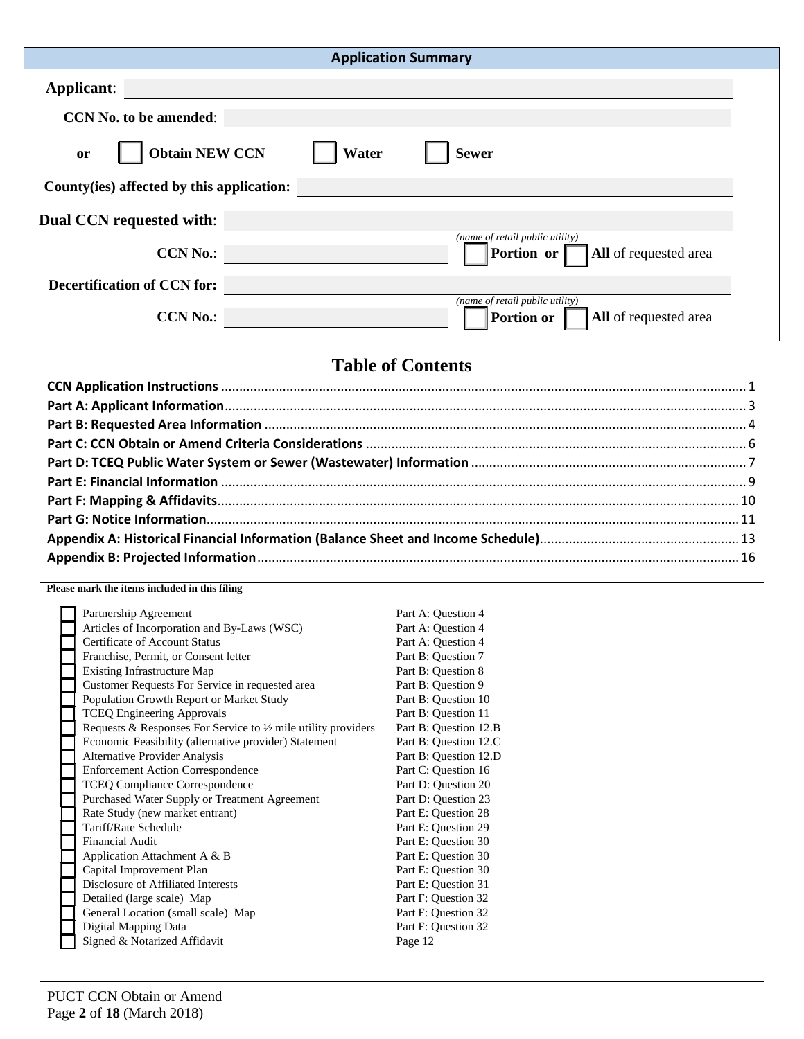| <b>Application Summary</b>                                                                       |  |
|--------------------------------------------------------------------------------------------------|--|
| <b>Applicant:</b>                                                                                |  |
| <b>CCN No. to be amended:</b>                                                                    |  |
| <b>Obtain NEW CCN</b><br>Water<br><b>Sewer</b><br>or                                             |  |
| County (ies) affected by this application:                                                       |  |
| <b>Dual CCN</b> requested with:                                                                  |  |
| (name of retail public utility)<br>Portion or<br><b>CCN No.:</b><br><b>All</b> of requested area |  |
| <b>Decertification of CCN for:</b>                                                               |  |
| (name of retail public utility)<br><b>CCN No.:</b><br>All of requested area<br><b>Portion or</b> |  |

# **Table of Contents**

#### **Please mark the items included in this filing**

| Partnership Agreement                                                    | Part A: Question 4    |
|--------------------------------------------------------------------------|-----------------------|
| Articles of Incorporation and By-Laws (WSC)                              | Part A: Question 4    |
| <b>Certificate of Account Status</b>                                     | Part A: Question 4    |
| Franchise, Permit, or Consent letter                                     | Part B: Question 7    |
| <b>Existing Infrastructure Map</b>                                       | Part B: Ouestion 8    |
| Customer Requests For Service in requested area                          | Part B: Question 9    |
| Population Growth Report or Market Study                                 | Part B: Question 10   |
| <b>TCEQ Engineering Approvals</b>                                        | Part B: Question 11   |
| Requests & Responses For Service to $\frac{1}{2}$ mile utility providers | Part B: Question 12.B |
| Economic Feasibility (alternative provider) Statement                    | Part B: Question 12.C |
| <b>Alternative Provider Analysis</b>                                     | Part B: Question 12.D |
| <b>Enforcement Action Correspondence</b>                                 | Part C: Question 16   |
| <b>TCEQ Compliance Correspondence</b>                                    | Part D: Question 20   |
| Purchased Water Supply or Treatment Agreement                            | Part D: Question 23   |
| Rate Study (new market entrant)                                          | Part E: Question 28   |
| Tariff/Rate Schedule                                                     | Part E: Question 29   |
| <b>Financial Audit</b>                                                   | Part E: Question 30   |
| Application Attachment A & B                                             | Part E: Question 30   |
| Capital Improvement Plan                                                 | Part E: Question 30   |
| Disclosure of Affiliated Interests                                       | Part E: Question 31   |
| Detailed (large scale) Map                                               | Part F: Question 32   |
| General Location (small scale) Map                                       | Part F: Question 32   |
| Digital Mapping Data                                                     | Part F: Question 32   |
| Signed & Notarized Affidavit                                             | Page 12               |
|                                                                          |                       |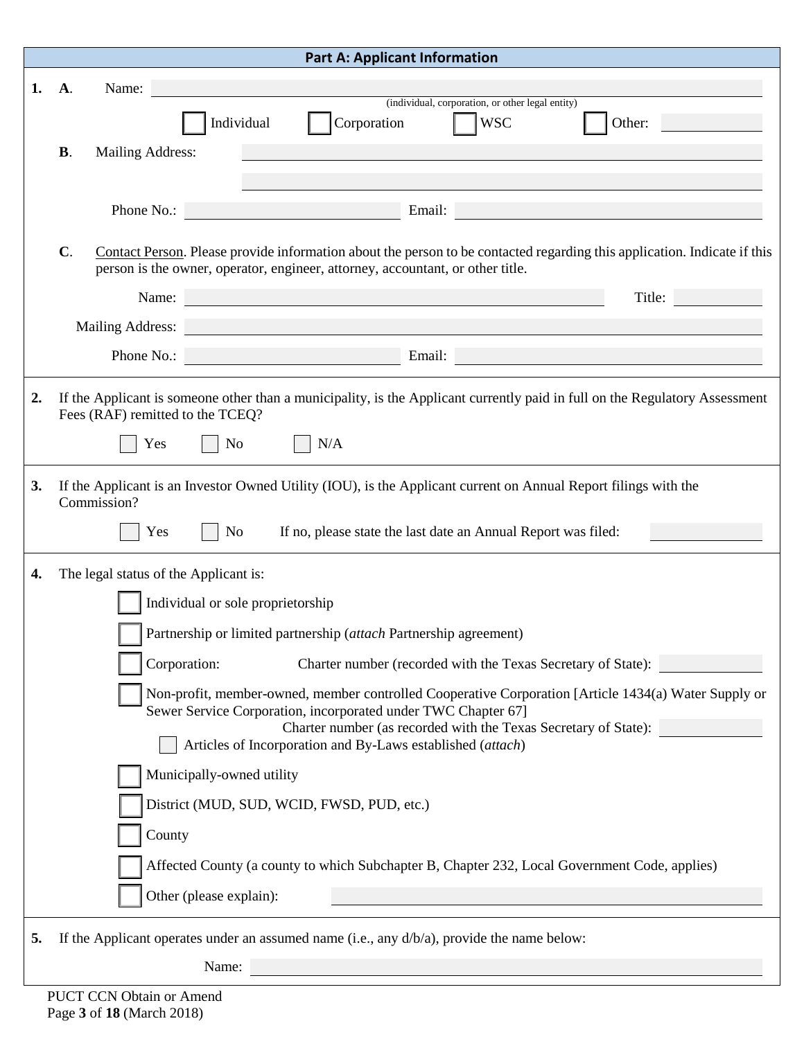<span id="page-2-0"></span>

|    | <b>Part A: Applicant Information</b> |                                                                                                                                                                                                                                              |  |  |  |
|----|--------------------------------------|----------------------------------------------------------------------------------------------------------------------------------------------------------------------------------------------------------------------------------------------|--|--|--|
| 1. | <b>A</b> .                           | Name:                                                                                                                                                                                                                                        |  |  |  |
|    |                                      | (individual, corporation, or other legal entity)<br>$\sqrt{ }$ WSC<br>Corporation<br>Individual<br>Other:                                                                                                                                    |  |  |  |
|    | <b>B.</b>                            | Mailing Address:                                                                                                                                                                                                                             |  |  |  |
|    |                                      |                                                                                                                                                                                                                                              |  |  |  |
|    |                                      | Phone No.:                                                                                                                                                                                                                                   |  |  |  |
|    |                                      |                                                                                                                                                                                                                                              |  |  |  |
|    | $C$ .                                | Contact Person. Please provide information about the person to be contacted regarding this application. Indicate if this<br>person is the owner, operator, engineer, attorney, accountant, or other title.                                   |  |  |  |
|    |                                      | Title: The Company of the Company of the Company of the Company of the Company of the Company of the Company of the Company of the Company of the Company of the Company of the Company of the Company of the Company of the C<br>Name:      |  |  |  |
|    |                                      | Mailing Address:                                                                                                                                                                                                                             |  |  |  |
|    |                                      | Phone No.:<br>Email: North Contract of the Contract of the Contract of the Contract of the Contract of the Contract of the Contract of the Contract of the Contract of the Contract of the Contract of the Contract of the Contract of the C |  |  |  |
| 2. |                                      | If the Applicant is someone other than a municipality, is the Applicant currently paid in full on the Regulatory Assessment                                                                                                                  |  |  |  |
|    |                                      | Fees (RAF) remitted to the TCEQ?                                                                                                                                                                                                             |  |  |  |
|    |                                      | N/A<br>Yes<br>No                                                                                                                                                                                                                             |  |  |  |
| 3. |                                      | If the Applicant is an Investor Owned Utility (IOU), is the Applicant current on Annual Report filings with the                                                                                                                              |  |  |  |
|    | Commission?                          |                                                                                                                                                                                                                                              |  |  |  |
|    |                                      | Yes<br>If no, please state the last date an Annual Report was filed:<br>N <sub>o</sub>                                                                                                                                                       |  |  |  |
| 4. |                                      | The legal status of the Applicant is:                                                                                                                                                                                                        |  |  |  |
|    | Individual or sole proprietorship    |                                                                                                                                                                                                                                              |  |  |  |
|    |                                      | Partnership or limited partnership (attach Partnership agreement)                                                                                                                                                                            |  |  |  |
|    |                                      | Corporation:<br>Charter number (recorded with the Texas Secretary of State):                                                                                                                                                                 |  |  |  |
|    |                                      | Non-profit, member-owned, member controlled Cooperative Corporation [Article 1434(a) Water Supply or                                                                                                                                         |  |  |  |
|    |                                      | Sewer Service Corporation, incorporated under TWC Chapter 67]<br>Charter number (as recorded with the Texas Secretary of State):                                                                                                             |  |  |  |
|    |                                      | Articles of Incorporation and By-Laws established (attach)                                                                                                                                                                                   |  |  |  |
|    |                                      | Municipally-owned utility                                                                                                                                                                                                                    |  |  |  |
|    |                                      | District (MUD, SUD, WCID, FWSD, PUD, etc.)                                                                                                                                                                                                   |  |  |  |
|    |                                      | County                                                                                                                                                                                                                                       |  |  |  |
|    |                                      | Affected County (a county to which Subchapter B, Chapter 232, Local Government Code, applies)                                                                                                                                                |  |  |  |
|    |                                      | Other (please explain):                                                                                                                                                                                                                      |  |  |  |
|    |                                      |                                                                                                                                                                                                                                              |  |  |  |
| 5. |                                      | If the Applicant operates under an assumed name (i.e., any $d/b/a$ ), provide the name below:                                                                                                                                                |  |  |  |
|    |                                      | Name:                                                                                                                                                                                                                                        |  |  |  |
|    |                                      | <b>PUCT CCN Obtain or Amend</b>                                                                                                                                                                                                              |  |  |  |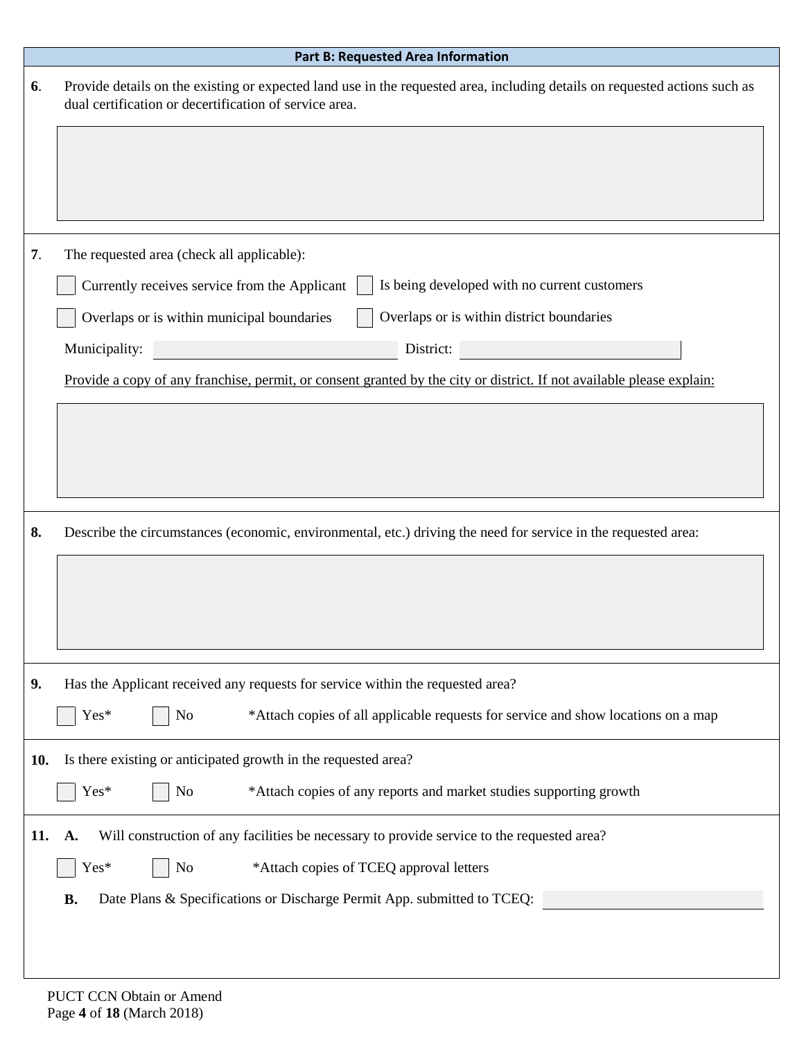<span id="page-3-0"></span>

|     | <b>Part B: Requested Area Information</b>                                                                                                                                            |
|-----|--------------------------------------------------------------------------------------------------------------------------------------------------------------------------------------|
| 6.  | Provide details on the existing or expected land use in the requested area, including details on requested actions such as<br>dual certification or decertification of service area. |
|     |                                                                                                                                                                                      |
|     |                                                                                                                                                                                      |
| 7.  | The requested area (check all applicable):                                                                                                                                           |
|     | Is being developed with no current customers<br>Currently receives service from the Applicant                                                                                        |
|     | Overlaps or is within district boundaries<br>Overlaps or is within municipal boundaries                                                                                              |
|     | Municipality:<br>District:                                                                                                                                                           |
|     | Provide a copy of any franchise, permit, or consent granted by the city or district. If not available please explain:                                                                |
|     |                                                                                                                                                                                      |
|     |                                                                                                                                                                                      |
|     |                                                                                                                                                                                      |
| 8.  | Describe the circumstances (economic, environmental, etc.) driving the need for service in the requested area:                                                                       |
|     |                                                                                                                                                                                      |
|     |                                                                                                                                                                                      |
|     |                                                                                                                                                                                      |
| 9.  | Has the Applicant received any requests for service within the requested area?                                                                                                       |
|     | Yes*<br>*Attach copies of all applicable requests for service and show locations on a map<br>N <sub>o</sub>                                                                          |
| 10. | Is there existing or anticipated growth in the requested area?                                                                                                                       |
|     | Yes*<br>*Attach copies of any reports and market studies supporting growth<br>N <sub>o</sub>                                                                                         |
| 11. | Will construction of any facilities be necessary to provide service to the requested area?<br>A.                                                                                     |
|     | Yes*<br>*Attach copies of TCEQ approval letters<br>N <sub>o</sub>                                                                                                                    |
|     | <b>B.</b><br>Date Plans & Specifications or Discharge Permit App. submitted to TCEQ:                                                                                                 |
|     |                                                                                                                                                                                      |
|     |                                                                                                                                                                                      |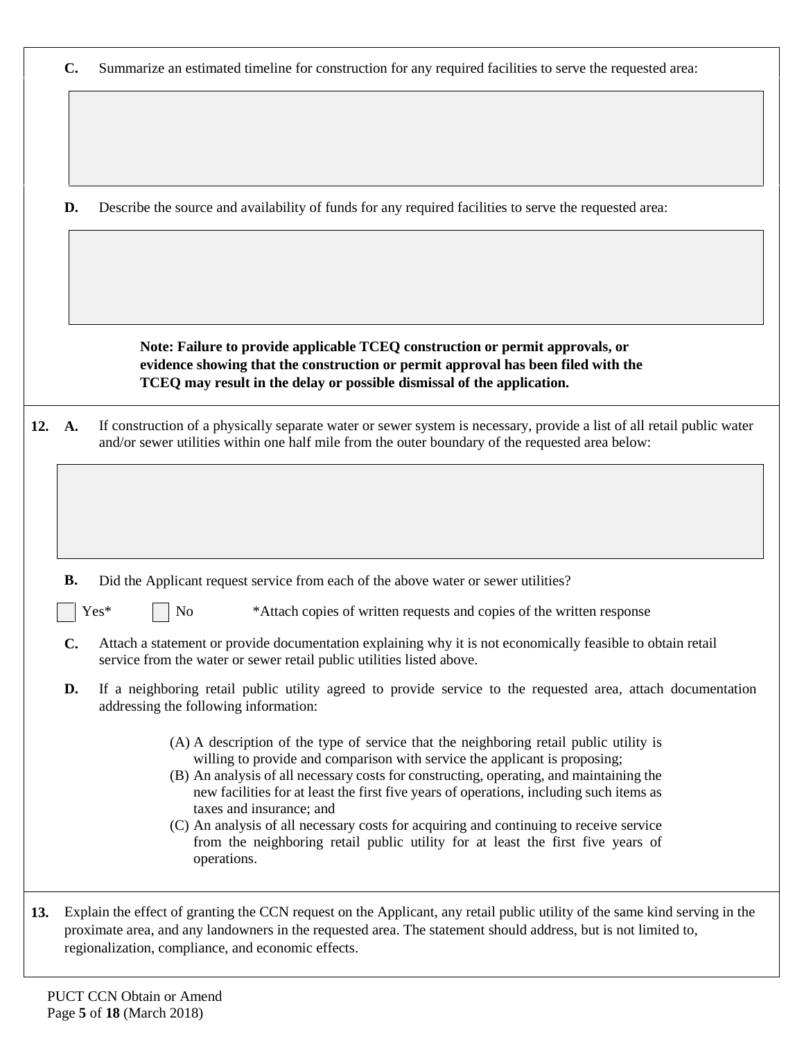|        | Summarize an estimated timeline for construction for any required facilities to serve the requested area:<br>$\mathbf{C}$ . |                                                                                                                                                                                                                            |  |  |  |  |
|--------|-----------------------------------------------------------------------------------------------------------------------------|----------------------------------------------------------------------------------------------------------------------------------------------------------------------------------------------------------------------------|--|--|--|--|
|        |                                                                                                                             |                                                                                                                                                                                                                            |  |  |  |  |
|        |                                                                                                                             |                                                                                                                                                                                                                            |  |  |  |  |
|        |                                                                                                                             |                                                                                                                                                                                                                            |  |  |  |  |
|        | D.                                                                                                                          | Describe the source and availability of funds for any required facilities to serve the requested area:                                                                                                                     |  |  |  |  |
|        |                                                                                                                             |                                                                                                                                                                                                                            |  |  |  |  |
|        |                                                                                                                             |                                                                                                                                                                                                                            |  |  |  |  |
|        |                                                                                                                             |                                                                                                                                                                                                                            |  |  |  |  |
|        |                                                                                                                             | Note: Failure to provide applicable TCEQ construction or permit approvals, or<br>evidence showing that the construction or permit approval has been filed with the                                                         |  |  |  |  |
|        |                                                                                                                             | TCEQ may result in the delay or possible dismissal of the application.                                                                                                                                                     |  |  |  |  |
| 12. A. |                                                                                                                             | If construction of a physically separate water or sewer system is necessary, provide a list of all retail public water<br>and/or sewer utilities within one half mile from the outer boundary of the requested area below: |  |  |  |  |
|        |                                                                                                                             |                                                                                                                                                                                                                            |  |  |  |  |
|        |                                                                                                                             |                                                                                                                                                                                                                            |  |  |  |  |
|        |                                                                                                                             |                                                                                                                                                                                                                            |  |  |  |  |
|        | <b>B.</b>                                                                                                                   | Did the Applicant request service from each of the above water or sewer utilities?                                                                                                                                         |  |  |  |  |
|        |                                                                                                                             | Yes*<br>*Attach copies of written requests and copies of the written response<br>N <sub>o</sub>                                                                                                                            |  |  |  |  |
|        | $\mathbf{C}$ .                                                                                                              | Attach a statement or provide documentation explaining why it is not economically feasible to obtain retail<br>service from the water or sewer retail public utilities listed above.                                       |  |  |  |  |
|        | D.                                                                                                                          | If a neighboring retail public utility agreed to provide service to the requested area, attach documentation<br>addressing the following information:                                                                      |  |  |  |  |
|        |                                                                                                                             | (A) A description of the type of service that the neighboring retail public utility is                                                                                                                                     |  |  |  |  |
|        |                                                                                                                             | willing to provide and comparison with service the applicant is proposing;<br>(B) An analysis of all necessary costs for constructing, operating, and maintaining the                                                      |  |  |  |  |
|        |                                                                                                                             | new facilities for at least the first five years of operations, including such items as<br>taxes and insurance; and                                                                                                        |  |  |  |  |
|        |                                                                                                                             | (C) An analysis of all necessary costs for acquiring and continuing to receive service<br>from the neighboring retail public utility for at least the first five years of                                                  |  |  |  |  |
|        |                                                                                                                             | operations.                                                                                                                                                                                                                |  |  |  |  |
| 13.    |                                                                                                                             | Explain the effect of granting the CCN request on the Applicant, any retail public utility of the same kind serving in the                                                                                                 |  |  |  |  |
|        |                                                                                                                             | proximate area, and any landowners in the requested area. The statement should address, but is not limited to,<br>regionalization, compliance, and economic effects.                                                       |  |  |  |  |

PUCT CCN Obtain or Amend Page **5** of **18** (March 2018)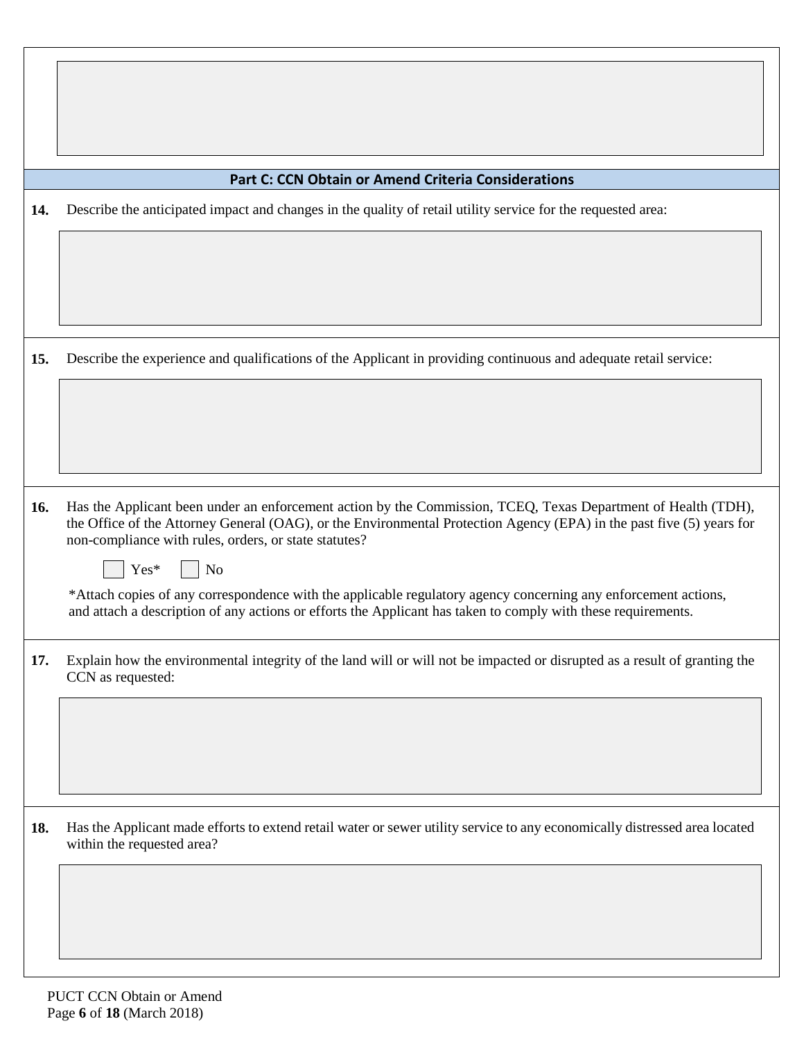<span id="page-5-0"></span>

|     | <b>Part C: CCN Obtain or Amend Criteria Considerations</b>                                                                                                                                                                                                                                                           |
|-----|----------------------------------------------------------------------------------------------------------------------------------------------------------------------------------------------------------------------------------------------------------------------------------------------------------------------|
| 14. | Describe the anticipated impact and changes in the quality of retail utility service for the requested area:                                                                                                                                                                                                         |
|     |                                                                                                                                                                                                                                                                                                                      |
| 15. | Describe the experience and qualifications of the Applicant in providing continuous and adequate retail service:                                                                                                                                                                                                     |
|     |                                                                                                                                                                                                                                                                                                                      |
| 16. | Has the Applicant been under an enforcement action by the Commission, TCEQ, Texas Department of Health (TDH),<br>the Office of the Attorney General (OAG), or the Environmental Protection Agency (EPA) in the past five (5) years for<br>non-compliance with rules, orders, or state statutes?<br>Yes*<br><b>No</b> |
|     | *Attach copies of any correspondence with the applicable regulatory agency concerning any enforcement actions,<br>and attach a description of any actions or efforts the Applicant has taken to comply with these requirements.                                                                                      |
| 17. | Explain how the environmental integrity of the land will or will not be impacted or disrupted as a result of granting the<br>CCN as requested:                                                                                                                                                                       |
|     |                                                                                                                                                                                                                                                                                                                      |
| 18. | Has the Applicant made efforts to extend retail water or sewer utility service to any economically distressed area located<br>within the requested area?                                                                                                                                                             |
|     |                                                                                                                                                                                                                                                                                                                      |
|     |                                                                                                                                                                                                                                                                                                                      |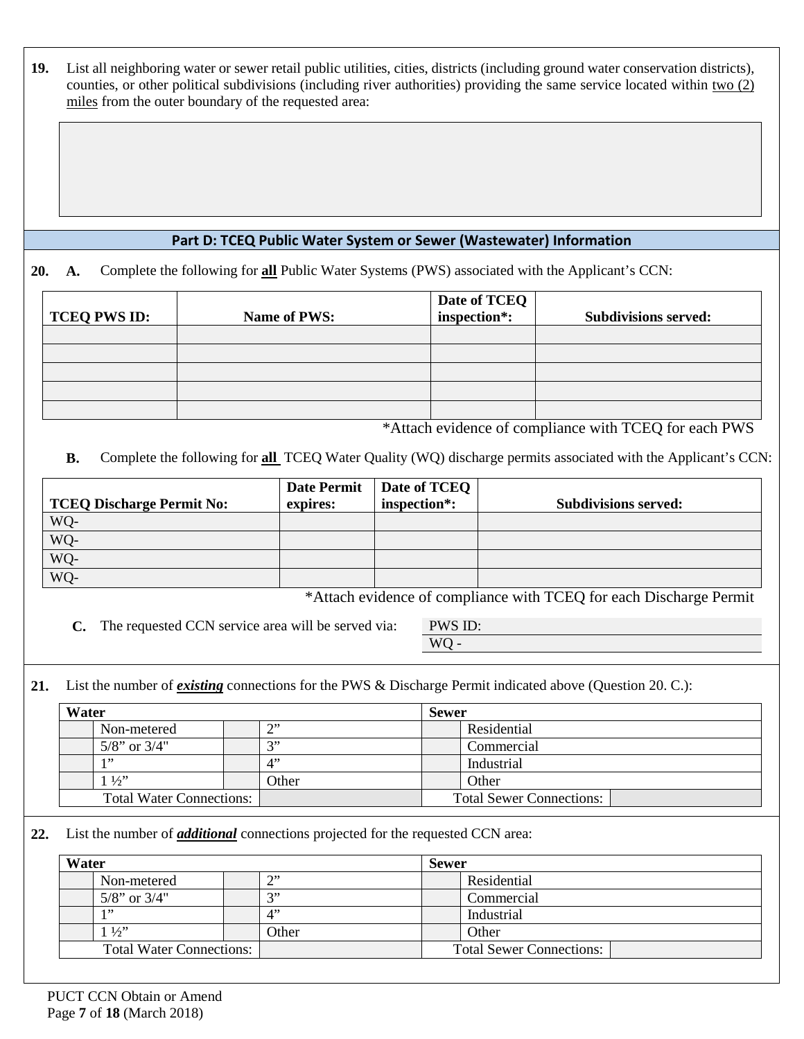**19.** List all neighboring water or sewer retail public utilities, cities, districts (including ground water conservation districts), counties, or other political subdivisions (including river authorities) providing the same service located within two (2) miles from the outer boundary of the requested area:

#### <span id="page-6-0"></span>**Part D: TCEQ Public Water System or Sewer (Wastewater) Information**

**20. A.** Complete the following for **all** Public Water Systems (PWS) associated with the Applicant's CCN:

| <b>TCEQ PWS ID:</b> | Name of PWS: | Date of TCEQ<br>inspection <sup>*</sup> : | <b>Subdivisions served:</b> |
|---------------------|--------------|-------------------------------------------|-----------------------------|
|                     |              |                                           |                             |
|                     |              |                                           |                             |
|                     |              |                                           |                             |
|                     |              |                                           |                             |
|                     |              |                                           |                             |

\*Attach evidence of compliance with TCEQ for each PWS

**B.** Complete the following for **all** TCEQ Water Quality (WQ) discharge permits associated with the Applicant's CCN:

| <b>TCEQ Discharge Permit No:</b> | <b>Date Permit</b><br>expires: | Date of TCEQ<br>inspection <sup>*</sup> : | <b>Subdivisions served:</b> |
|----------------------------------|--------------------------------|-------------------------------------------|-----------------------------|
| WQ-                              |                                |                                           |                             |
| WQ-                              |                                |                                           |                             |
| $WQ-$                            |                                |                                           |                             |
| WQ-                              |                                |                                           |                             |

\*Attach evidence of compliance with TCEQ for each Discharge Permit

**C.** The requested CCN service area will be served via: PWS ID:

WQ

**21.** List the number of *existing* connections for the PWS & Discharge Permit indicated above (Question 20. C.):

| Water                           |                    |               | <b>Sewer</b>                    |
|---------------------------------|--------------------|---------------|---------------------------------|
|                                 | Non-metered        | $\gamma$<br>∸ | Residential                     |
|                                 | $5/8$ " or $3/4$ " | $\rightarrow$ | Commercial                      |
|                                 | 1, 22              | $\Lambda$     | Industrial                      |
|                                 | $1\frac{1}{2}$     | Other         | Other                           |
| <b>Total Water Connections:</b> |                    |               | <b>Total Sewer Connections:</b> |

**22.** List the number of *additional* connections projected for the requested CCN area:

| Water                           |                    | <b>Sewer</b>  |                                 |  |
|---------------------------------|--------------------|---------------|---------------------------------|--|
|                                 | Non-metered        | $\bigcap$     | Residential                     |  |
|                                 | $5/8$ " or $3/4$ " | $\rightarrow$ | Commercial                      |  |
|                                 | 1, 22              | 4"            | Industrial                      |  |
|                                 | $1\frac{1}{2}$     | Other         | Other                           |  |
| <b>Total Water Connections:</b> |                    |               | <b>Total Sewer Connections:</b> |  |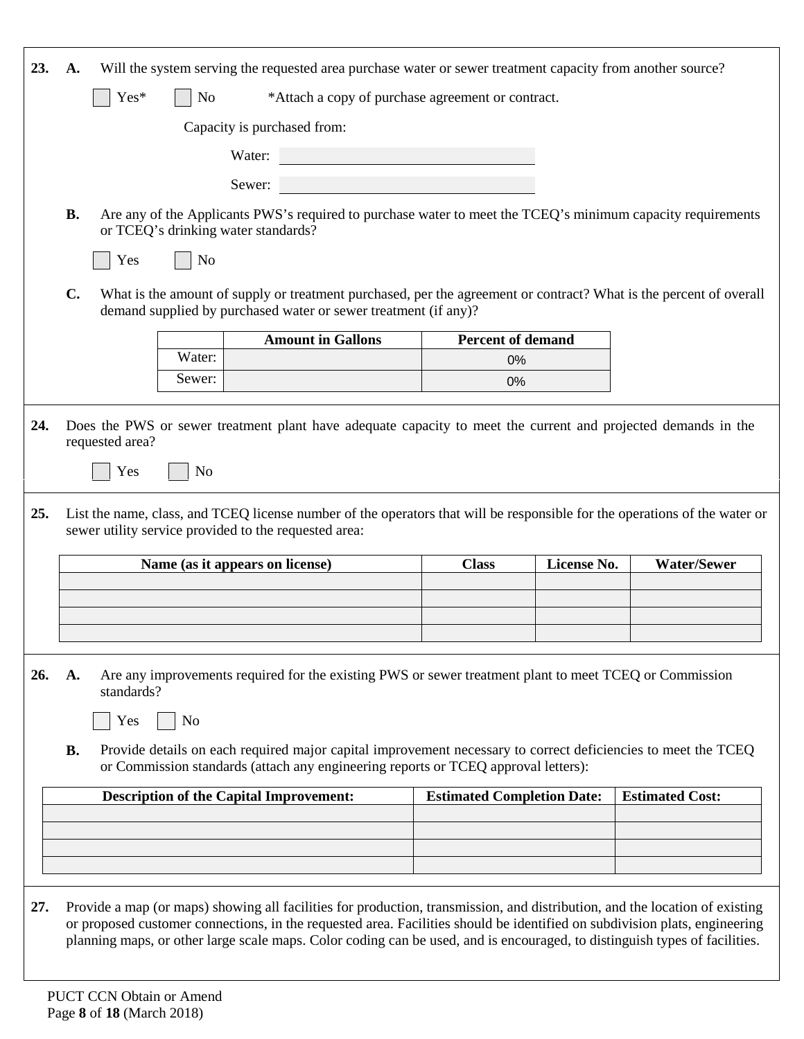| 23. | A.                                                                                                                                                                                                               |                | Will the system serving the requested area purchase water or sewer treatment capacity from another source?                                                                                                                                               |                                   |             |                        |  |
|-----|------------------------------------------------------------------------------------------------------------------------------------------------------------------------------------------------------------------|----------------|----------------------------------------------------------------------------------------------------------------------------------------------------------------------------------------------------------------------------------------------------------|-----------------------------------|-------------|------------------------|--|
|     | Yes*<br>*Attach a copy of purchase agreement or contract.<br>N <sub>o</sub>                                                                                                                                      |                |                                                                                                                                                                                                                                                          |                                   |             |                        |  |
|     |                                                                                                                                                                                                                  |                | Capacity is purchased from:                                                                                                                                                                                                                              |                                   |             |                        |  |
|     |                                                                                                                                                                                                                  |                | Water:                                                                                                                                                                                                                                                   |                                   |             |                        |  |
|     |                                                                                                                                                                                                                  |                | Sewer:                                                                                                                                                                                                                                                   |                                   |             |                        |  |
|     | <b>B.</b>                                                                                                                                                                                                        |                | Are any of the Applicants PWS's required to purchase water to meet the TCEQ's minimum capacity requirements                                                                                                                                              |                                   |             |                        |  |
|     |                                                                                                                                                                                                                  |                | or TCEQ's drinking water standards?                                                                                                                                                                                                                      |                                   |             |                        |  |
|     | Yes                                                                                                                                                                                                              | No             |                                                                                                                                                                                                                                                          |                                   |             |                        |  |
|     | $C_{\bullet}$                                                                                                                                                                                                    |                | What is the amount of supply or treatment purchased, per the agreement or contract? What is the percent of overall                                                                                                                                       |                                   |             |                        |  |
|     |                                                                                                                                                                                                                  |                | demand supplied by purchased water or sewer treatment (if any)?                                                                                                                                                                                          |                                   |             |                        |  |
|     |                                                                                                                                                                                                                  | Water:         | <b>Amount in Gallons</b>                                                                                                                                                                                                                                 | <b>Percent of demand</b><br>0%    |             |                        |  |
|     |                                                                                                                                                                                                                  | Sewer:         |                                                                                                                                                                                                                                                          | 0%                                |             |                        |  |
| 24. |                                                                                                                                                                                                                  |                | Does the PWS or sewer treatment plant have adequate capacity to meet the current and projected demands in the                                                                                                                                            |                                   |             |                        |  |
|     | requested area?                                                                                                                                                                                                  |                |                                                                                                                                                                                                                                                          |                                   |             |                        |  |
|     | Yes                                                                                                                                                                                                              | N <sub>o</sub> |                                                                                                                                                                                                                                                          |                                   |             |                        |  |
| 25. |                                                                                                                                                                                                                  |                | List the name, class, and TCEQ license number of the operators that will be responsible for the operations of the water or                                                                                                                               |                                   |             |                        |  |
|     |                                                                                                                                                                                                                  |                | sewer utility service provided to the requested area:                                                                                                                                                                                                    |                                   |             |                        |  |
|     |                                                                                                                                                                                                                  |                | Name (as it appears on license)                                                                                                                                                                                                                          | <b>Class</b>                      | License No. | <b>Water/Sewer</b>     |  |
|     |                                                                                                                                                                                                                  |                |                                                                                                                                                                                                                                                          |                                   |             |                        |  |
|     |                                                                                                                                                                                                                  |                |                                                                                                                                                                                                                                                          |                                   |             |                        |  |
|     |                                                                                                                                                                                                                  |                |                                                                                                                                                                                                                                                          |                                   |             |                        |  |
| 26. | Are any improvements required for the existing PWS or sewer treatment plant to meet TCEQ or Commission<br>A.<br>standards?                                                                                       |                |                                                                                                                                                                                                                                                          |                                   |             |                        |  |
|     | Yes                                                                                                                                                                                                              | N <sub>o</sub> |                                                                                                                                                                                                                                                          |                                   |             |                        |  |
|     | <b>B.</b><br>Provide details on each required major capital improvement necessary to correct deficiencies to meet the TCEQ<br>or Commission standards (attach any engineering reports or TCEQ approval letters): |                |                                                                                                                                                                                                                                                          |                                   |             |                        |  |
|     |                                                                                                                                                                                                                  |                | <b>Description of the Capital Improvement:</b>                                                                                                                                                                                                           | <b>Estimated Completion Date:</b> |             | <b>Estimated Cost:</b> |  |
|     |                                                                                                                                                                                                                  |                |                                                                                                                                                                                                                                                          |                                   |             |                        |  |
|     |                                                                                                                                                                                                                  |                |                                                                                                                                                                                                                                                          |                                   |             |                        |  |
|     |                                                                                                                                                                                                                  |                |                                                                                                                                                                                                                                                          |                                   |             |                        |  |
|     |                                                                                                                                                                                                                  |                |                                                                                                                                                                                                                                                          |                                   |             |                        |  |
| 27. |                                                                                                                                                                                                                  |                | Provide a map (or maps) showing all facilities for production, transmission, and distribution, and the location of existing                                                                                                                              |                                   |             |                        |  |
|     |                                                                                                                                                                                                                  |                | or proposed customer connections, in the requested area. Facilities should be identified on subdivision plats, engineering<br>planning maps, or other large scale maps. Color coding can be used, and is encouraged, to distinguish types of facilities. |                                   |             |                        |  |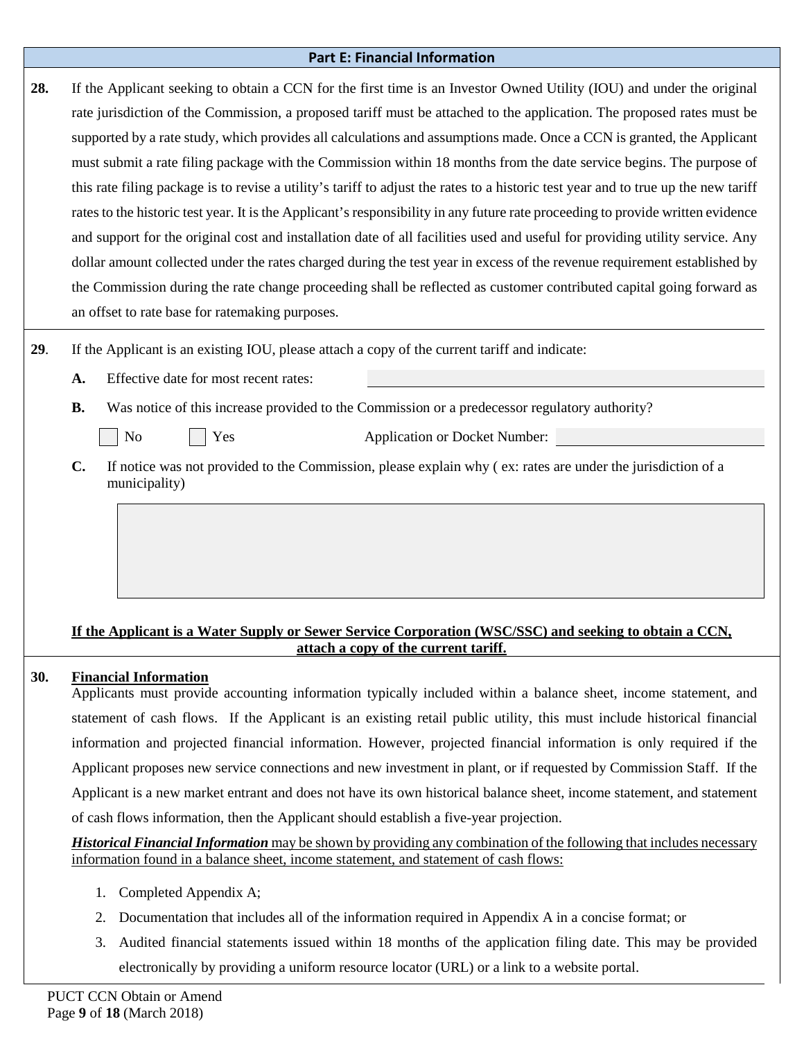#### <span id="page-8-0"></span>**Part E: Financial Information**

**28.** If the Applicant seeking to obtain a CCN for the first time is an Investor Owned Utility (IOU) and under the original rate jurisdiction of the Commission, a proposed tariff must be attached to the application. The proposed rates must be supported by a rate study, which provides all calculations and assumptions made. Once a CCN is granted, the Applicant must submit a rate filing package with the Commission within 18 months from the date service begins. The purpose of this rate filing package is to revise a utility's tariff to adjust the rates to a historic test year and to true up the new tariff rates to the historic test year. It is the Applicant's responsibility in any future rate proceeding to provide written evidence and support for the original cost and installation date of all facilities used and useful for providing utility service. Any dollar amount collected under the rates charged during the test year in excess of the revenue requirement established by the Commission during the rate change proceeding shall be reflected as customer contributed capital going forward as an offset to rate base for ratemaking purposes.

- **29**. If the Applicant is an existing IOU, please attach a copy of the current tariff and indicate:
	- **A.** Effective date for most recent rates:
	- **B.** Was notice of this increase provided to the Commission or a predecessor regulatory authority?



No  $\vert \vert$  Yes Application or Docket Number:

**C.** If notice was not provided to the Commission, please explain why ( ex: rates are under the jurisdiction of a municipality)

## **If the Applicant is a Water Supply or Sewer Service Corporation (WSC/SSC) and seeking to obtain a CCN, attach a copy of the current tariff.**

# **30. Financial Information**

Applicants must provide accounting information typically included within a balance sheet, income statement, and statement of cash flows. If the Applicant is an existing retail public utility, this must include historical financial information and projected financial information. However, projected financial information is only required if the Applicant proposes new service connections and new investment in plant, or if requested by Commission Staff. If the Applicant is a new market entrant and does not have its own historical balance sheet, income statement, and statement of cash flows information, then the Applicant should establish a five-year projection.

*Historical Financial Information* may be shown by providing any combination of the following that includes necessary information found in a balance sheet, income statement, and statement of cash flows:

- 1. Completed Appendix A;
- 2. Documentation that includes all of the information required in Appendix A in a concise format; or
- 3. Audited financial statements issued within 18 months of the application filing date. This may be provided electronically by providing a uniform resource locator (URL) or a link to a website portal.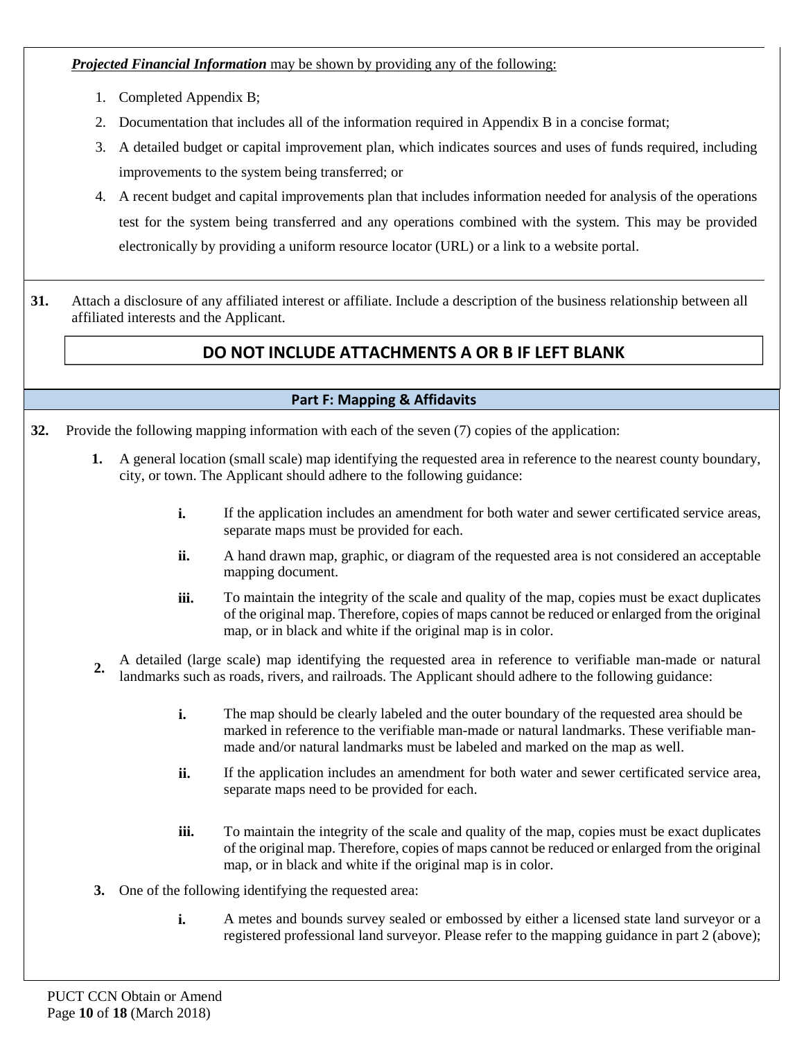*Projected Financial Information* may be shown by providing any of the following:

- 1. Completed Appendix B;
- 2. Documentation that includes all of the information required in Appendix B in a concise format;
- 3. A detailed budget or capital improvement plan, which indicates sources and uses of funds required, including improvements to the system being transferred; or
- 4. A recent budget and capital improvements plan that includes information needed for analysis of the operations test for the system being transferred and any operations combined with the system. This may be provided electronically by providing a uniform resource locator (URL) or a link to a website portal.
- **31.** Attach a disclosure of any affiliated interest or affiliate. Include a description of the business relationship between all affiliated interests and the Applicant.

# **DO NOT INCLUDE ATTACHMENTS A OR B IF LEFT BLANK**

## <span id="page-9-0"></span>**Part F: Mapping & Affidavits**

**32.** Provide the following mapping information with each of the seven (7) copies of the application:

- **1.** A general location (small scale) map identifying the requested area in reference to the nearest county boundary, city, or town. The Applicant should adhere to the following guidance:
	- **i.** If the application includes an amendment for both water and sewer certificated service areas, separate maps must be provided for each.
	- ii. A hand drawn map, graphic, or diagram of the requested area is not considered an acceptable mapping document.
	- **iii.** To maintain the integrity of the scale and quality of the map, copies must be exact duplicates of the original map. Therefore, copies of maps cannot be reduced or enlarged from the original map, or in black and white if the original map is in color.
- A detailed (large scale) map identifying the requested area in reference to verifiable man-made or natural **2.** landmarks such as roads, rivers, and railroads. The Applicant should adhere to the following guidance:
	- **i.** The map should be clearly labeled and the outer boundary of the requested area should be marked in reference to the verifiable man-made or natural landmarks. These verifiable manmade and/or natural landmarks must be labeled and marked on the map as well.
	- **ii.** If the application includes an amendment for both water and sewer certificated service area, separate maps need to be provided for each.
	- **iii.** To maintain the integrity of the scale and quality of the map, copies must be exact duplicates of the original map. Therefore, copies of maps cannot be reduced or enlarged from the original map, or in black and white if the original map is in color.
- **3.** One of the following identifying the requested area:
	- **i.** A metes and bounds survey sealed or embossed by either a licensed state land surveyor or a registered professional land surveyor. Please refer to the mapping guidance in part 2 (above);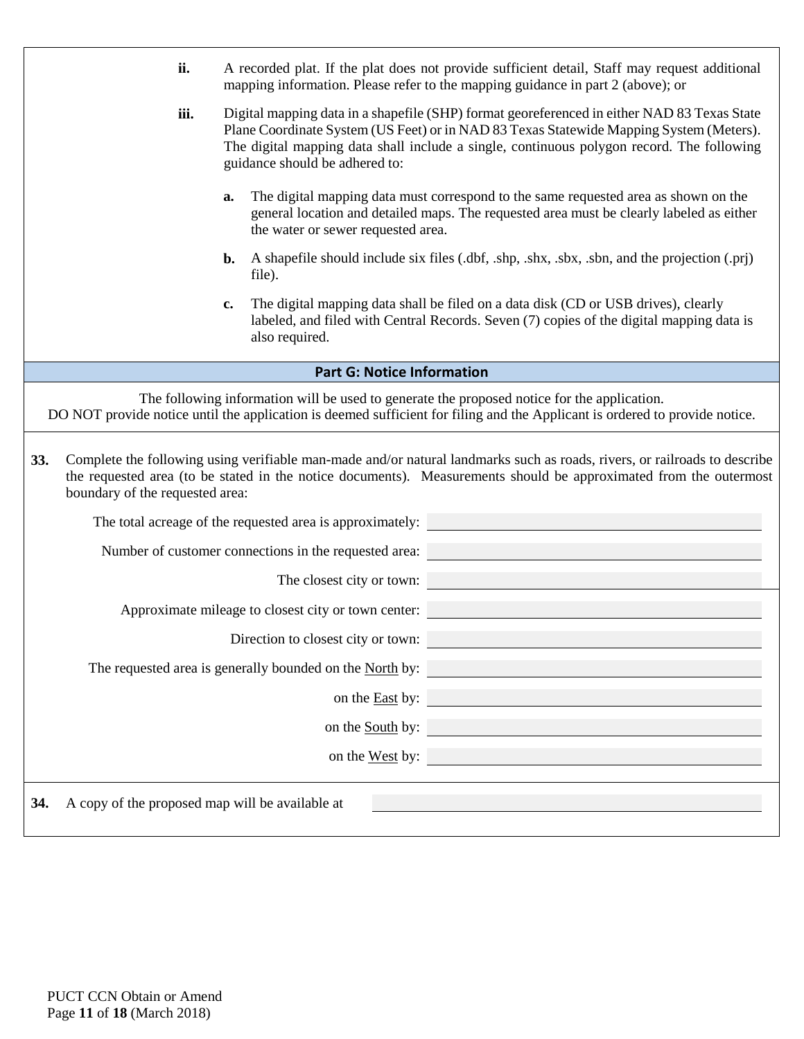<span id="page-10-0"></span>

|     | ii.                                                                                                                                                                                                                                                                                                                           | A recorded plat. If the plat does not provide sufficient detail, Staff may request additional<br>mapping information. Please refer to the mapping guidance in part 2 (above); or                                                               |  |  |  |  |  |  |  |
|-----|-------------------------------------------------------------------------------------------------------------------------------------------------------------------------------------------------------------------------------------------------------------------------------------------------------------------------------|------------------------------------------------------------------------------------------------------------------------------------------------------------------------------------------------------------------------------------------------|--|--|--|--|--|--|--|
|     | iii.<br>Digital mapping data in a shapefile (SHP) format georeferenced in either NAD 83 Texas State<br>Plane Coordinate System (US Feet) or in NAD 83 Texas Statewide Mapping System (Meters).<br>The digital mapping data shall include a single, continuous polygon record. The following<br>guidance should be adhered to: |                                                                                                                                                                                                                                                |  |  |  |  |  |  |  |
|     | The digital mapping data must correspond to the same requested area as shown on the<br>a.<br>general location and detailed maps. The requested area must be clearly labeled as either<br>the water or sewer requested area.                                                                                                   |                                                                                                                                                                                                                                                |  |  |  |  |  |  |  |
|     | A shapefile should include six files (dbf, shp, shx, sbx, sbn, and the projection (.prj)<br>b.<br>file).                                                                                                                                                                                                                      |                                                                                                                                                                                                                                                |  |  |  |  |  |  |  |
|     |                                                                                                                                                                                                                                                                                                                               | The digital mapping data shall be filed on a data disk (CD or USB drives), clearly<br>$c_{\bullet}$<br>labeled, and filed with Central Records. Seven (7) copies of the digital mapping data is<br>also required.                              |  |  |  |  |  |  |  |
|     |                                                                                                                                                                                                                                                                                                                               | <b>Part G: Notice Information</b>                                                                                                                                                                                                              |  |  |  |  |  |  |  |
|     |                                                                                                                                                                                                                                                                                                                               | The following information will be used to generate the proposed notice for the application.<br>DO NOT provide notice until the application is deemed sufficient for filing and the Applicant is ordered to provide notice.                     |  |  |  |  |  |  |  |
| 33. | boundary of the requested area:                                                                                                                                                                                                                                                                                               | Complete the following using verifiable man-made and/or natural landmarks such as roads, rivers, or railroads to describe<br>the requested area (to be stated in the notice documents). Measurements should be approximated from the outermost |  |  |  |  |  |  |  |
|     |                                                                                                                                                                                                                                                                                                                               | The total acreage of the requested area is approximately:                                                                                                                                                                                      |  |  |  |  |  |  |  |
|     |                                                                                                                                                                                                                                                                                                                               | Number of customer connections in the requested area:                                                                                                                                                                                          |  |  |  |  |  |  |  |
|     |                                                                                                                                                                                                                                                                                                                               | The closest city or town:                                                                                                                                                                                                                      |  |  |  |  |  |  |  |
|     |                                                                                                                                                                                                                                                                                                                               | Approximate mileage to closest city or town center:                                                                                                                                                                                            |  |  |  |  |  |  |  |
|     |                                                                                                                                                                                                                                                                                                                               | Direction to closest city or town:                                                                                                                                                                                                             |  |  |  |  |  |  |  |
|     |                                                                                                                                                                                                                                                                                                                               | The requested area is generally bounded on the <u>North</u> by:                                                                                                                                                                                |  |  |  |  |  |  |  |
|     |                                                                                                                                                                                                                                                                                                                               | on the <u>East</u> by:                                                                                                                                                                                                                         |  |  |  |  |  |  |  |
|     |                                                                                                                                                                                                                                                                                                                               | on the <u>South</u> by:                                                                                                                                                                                                                        |  |  |  |  |  |  |  |
|     |                                                                                                                                                                                                                                                                                                                               |                                                                                                                                                                                                                                                |  |  |  |  |  |  |  |
|     |                                                                                                                                                                                                                                                                                                                               | on the <u>West</u> by:                                                                                                                                                                                                                         |  |  |  |  |  |  |  |
| 34. | A copy of the proposed map will be available at                                                                                                                                                                                                                                                                               |                                                                                                                                                                                                                                                |  |  |  |  |  |  |  |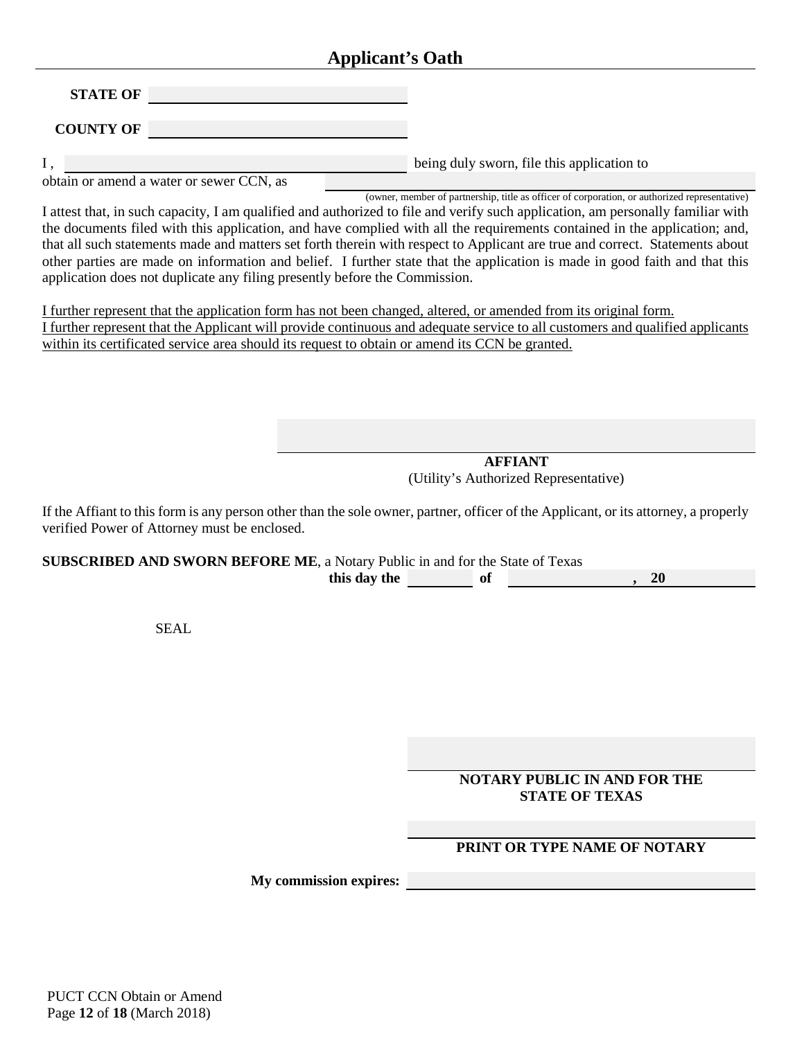# **Applicant's Oath**

**STATE OF** 

**COUNTY OF** 

I, being duly sworn, file this application to

obtain or amend a water or sewer CCN, as

(owner, member of partnership, title as officer of corporation, or authorized representative) I attest that, in such capacity, I am qualified and authorized to file and verify such application, am personally familiar with the documents filed with this application, and have complied with all the requirements contained in the application; and, that all such statements made and matters set forth therein with respect to Applicant are true and correct. Statements about other parties are made on information and belief. I further state that the application is made in good faith and that this application does not duplicate any filing presently before the Commission.

I further represent that the application form has not been changed, altered, or amended from its original form. I further represent that the Applicant will provide continuous and adequate service to all customers and qualified applicants within its certificated service area should its request to obtain or amend its CCN be granted.

> **AFFIANT**  (Utility's Authorized Representative)

If the Affiant to this form is any person other than the sole owner, partner, officer of the Applicant, or its attorney, a properly verified Power of Attorney must be enclosed.

**SUBSCRIBED AND SWORN BEFORE ME**, a Notary Public in and for the State of Texas **this day the of the of the set of the set of the set of the set of the set of the set of the set of the set of the set of the set of the set of the set of the set of the set of the set of the set of the set of the set of** 

**SEAL** 

**NOTARY PUBLIC IN AND FOR THE STATE OF TEXAS**

#### **PRINT OR TYPE NAME OF NOTARY**

**My commission expires:** 

PUCT CCN Obtain or Amend Page **12** of **18** (March 2018)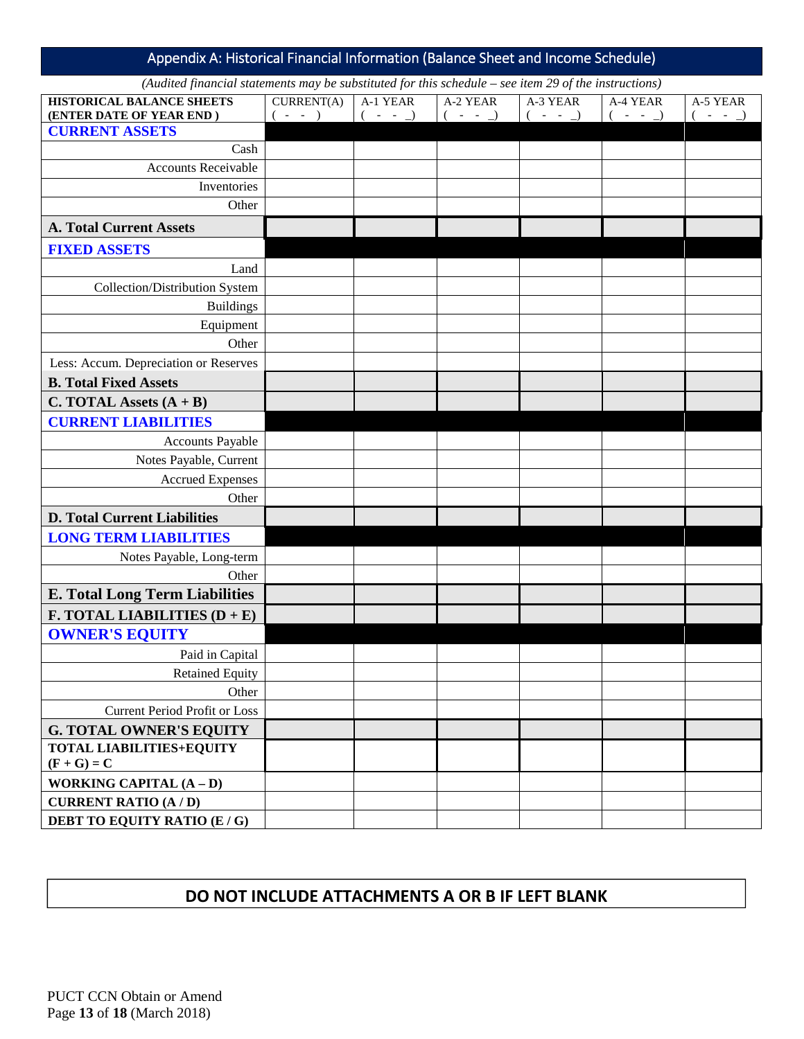<span id="page-12-0"></span>Appendix A: Historical Financial Information (Balance Sheet and Income Schedule)

*(Audited financial statements may be substituted for this schedule – see item 29 of the instructions)* 

| <b>HISTORICAL BALANCE SHEETS</b>                 | CURRENT(A) | A-1 YEAR    | A-2 YEAR | A-3 YEAR    | A-4 YEAR    | A-5 YEAR |
|--------------------------------------------------|------------|-------------|----------|-------------|-------------|----------|
| (ENTER DATE OF YEAR END)                         | $-  )$     | $( - - - )$ | $-  )$   | $( - - - )$ | $( - - - )$ | $-  )$   |
| <b>CURRENT ASSETS</b>                            |            |             |          |             |             |          |
| Cash                                             |            |             |          |             |             |          |
| <b>Accounts Receivable</b>                       |            |             |          |             |             |          |
| Inventories                                      |            |             |          |             |             |          |
| Other                                            |            |             |          |             |             |          |
| <b>A. Total Current Assets</b>                   |            |             |          |             |             |          |
| <b>FIXED ASSETS</b>                              |            |             |          |             |             |          |
| Land                                             |            |             |          |             |             |          |
| Collection/Distribution System                   |            |             |          |             |             |          |
| <b>Buildings</b>                                 |            |             |          |             |             |          |
| Equipment                                        |            |             |          |             |             |          |
| Other                                            |            |             |          |             |             |          |
| Less: Accum. Depreciation or Reserves            |            |             |          |             |             |          |
| <b>B. Total Fixed Assets</b>                     |            |             |          |             |             |          |
| C. TOTAL Assets $(A + B)$                        |            |             |          |             |             |          |
| <b>CURRENT LIABILITIES</b>                       |            |             |          |             |             |          |
| <b>Accounts Payable</b>                          |            |             |          |             |             |          |
| Notes Payable, Current                           |            |             |          |             |             |          |
| <b>Accrued Expenses</b>                          |            |             |          |             |             |          |
| Other                                            |            |             |          |             |             |          |
| <b>D. Total Current Liabilities</b>              |            |             |          |             |             |          |
| <b>LONG TERM LIABILITIES</b>                     |            |             |          |             |             |          |
| Notes Payable, Long-term                         |            |             |          |             |             |          |
| Other                                            |            |             |          |             |             |          |
| <b>E. Total Long Term Liabilities</b>            |            |             |          |             |             |          |
| <b>F. TOTAL LIABILITIES <math>(D + E)</math></b> |            |             |          |             |             |          |
| <b>OWNER'S EQUITY</b>                            |            |             |          |             |             |          |
| Paid in Capital                                  |            |             |          |             |             |          |
| <b>Retained Equity</b>                           |            |             |          |             |             |          |
| Other                                            |            |             |          |             |             |          |
| Current Period Profit or Loss                    |            |             |          |             |             |          |
| <b>G. TOTAL OWNER'S EQUITY</b>                   |            |             |          |             |             |          |
| <b>TOTAL LIABILITIES+EQUITY</b><br>$(F + G) = C$ |            |             |          |             |             |          |
| WORKING CAPITAL $(A - D)$                        |            |             |          |             |             |          |
| <b>CURRENT RATIO (A/D)</b>                       |            |             |          |             |             |          |
| DEBT TO EQUITY RATIO (E / G)                     |            |             |          |             |             |          |
|                                                  |            |             |          |             |             |          |

# **DO NOT INCLUDE ATTACHMENTS A OR B IF LEFT BLANK**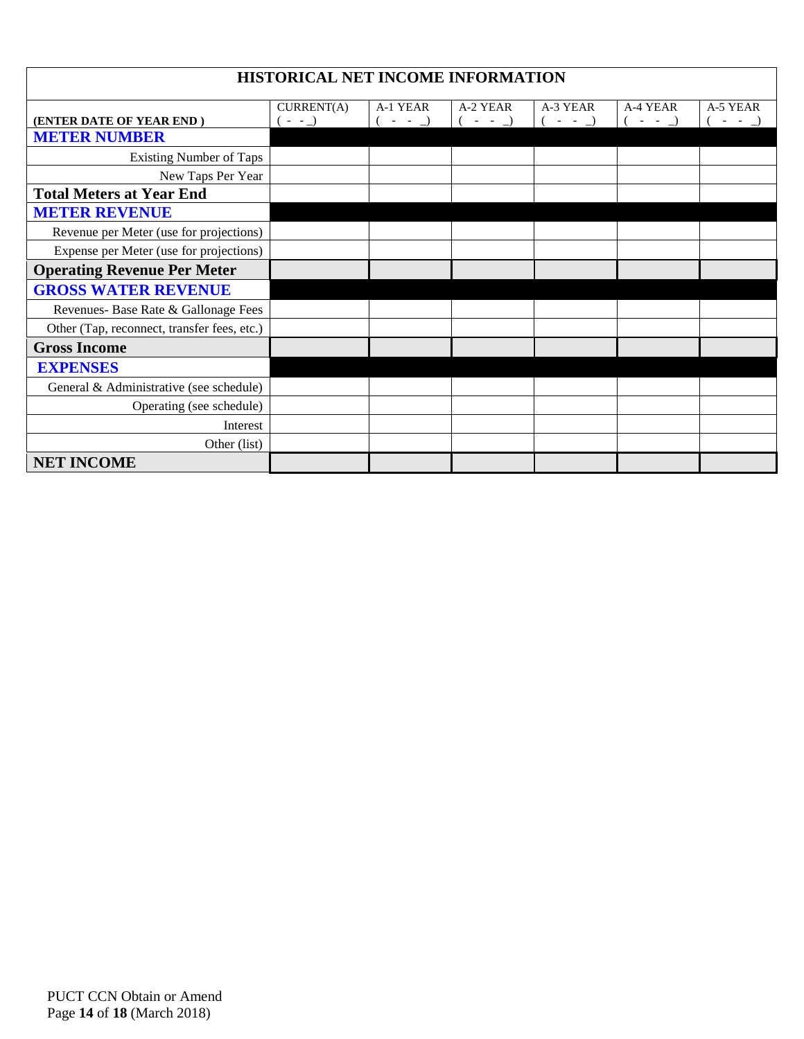| HISTORICAL NET INCOME INFORMATION                                                                                                                                    |  |  |  |  |  |  |  |  |  |  |
|----------------------------------------------------------------------------------------------------------------------------------------------------------------------|--|--|--|--|--|--|--|--|--|--|
| CURRENT(A)<br>A-1 YEAR<br>A-2 YEAR<br>A-3 YEAR<br>A-4 YEAR<br>A-5 YEAR<br>$-  )$<br>(ENTER DATE OF YEAR END)<br>$(- - )$<br>$-  )$<br>$-  )$<br>$-  )$<br>$\sim$ $-$ |  |  |  |  |  |  |  |  |  |  |
| <b>METER NUMBER</b>                                                                                                                                                  |  |  |  |  |  |  |  |  |  |  |
| <b>Existing Number of Taps</b>                                                                                                                                       |  |  |  |  |  |  |  |  |  |  |
| New Taps Per Year                                                                                                                                                    |  |  |  |  |  |  |  |  |  |  |
| <b>Total Meters at Year End</b>                                                                                                                                      |  |  |  |  |  |  |  |  |  |  |
| <b>METER REVENUE</b>                                                                                                                                                 |  |  |  |  |  |  |  |  |  |  |
| Revenue per Meter (use for projections)                                                                                                                              |  |  |  |  |  |  |  |  |  |  |
| Expense per Meter (use for projections)                                                                                                                              |  |  |  |  |  |  |  |  |  |  |
| <b>Operating Revenue Per Meter</b>                                                                                                                                   |  |  |  |  |  |  |  |  |  |  |
| <b>GROSS WATER REVENUE</b>                                                                                                                                           |  |  |  |  |  |  |  |  |  |  |
| Revenues- Base Rate & Gallonage Fees                                                                                                                                 |  |  |  |  |  |  |  |  |  |  |
| Other (Tap, reconnect, transfer fees, etc.)                                                                                                                          |  |  |  |  |  |  |  |  |  |  |
| <b>Gross Income</b>                                                                                                                                                  |  |  |  |  |  |  |  |  |  |  |
| <b>EXPENSES</b>                                                                                                                                                      |  |  |  |  |  |  |  |  |  |  |
| General & Administrative (see schedule)                                                                                                                              |  |  |  |  |  |  |  |  |  |  |
| Operating (see schedule)                                                                                                                                             |  |  |  |  |  |  |  |  |  |  |
| Interest                                                                                                                                                             |  |  |  |  |  |  |  |  |  |  |
| Other (list)                                                                                                                                                         |  |  |  |  |  |  |  |  |  |  |
| <b>NET INCOME</b>                                                                                                                                                    |  |  |  |  |  |  |  |  |  |  |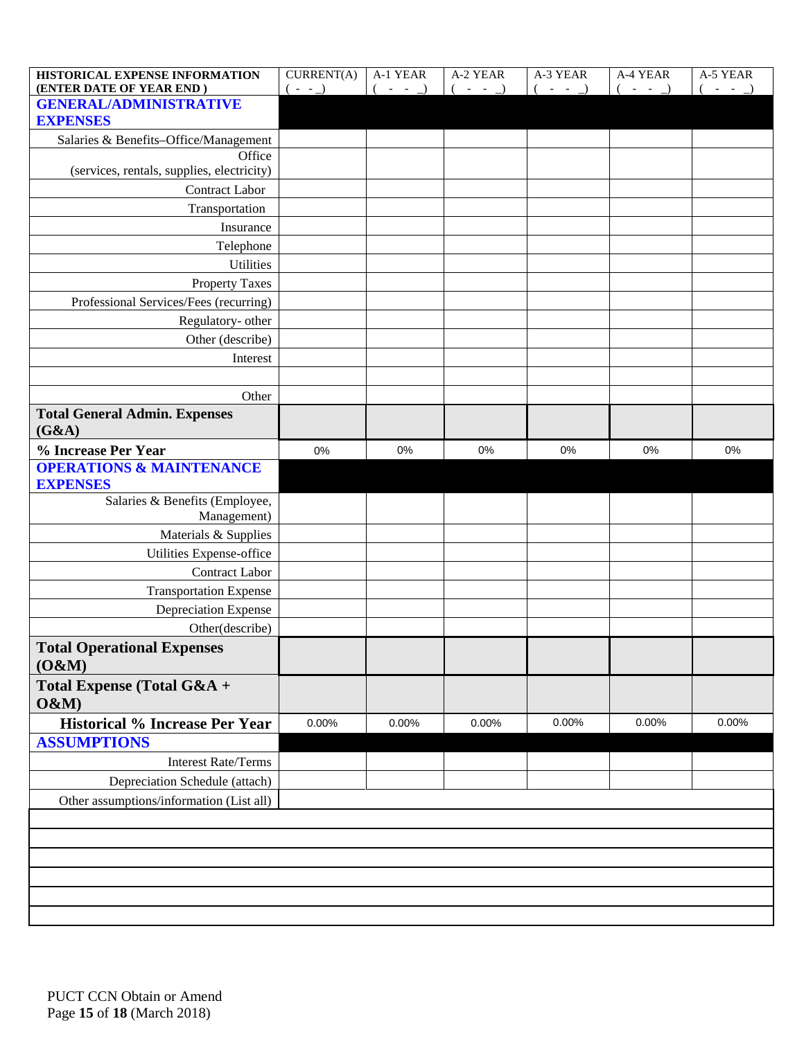| HISTORICAL EXPENSE INFORMATION<br>(ENTER DATE OF YEAR END) | <b>CURRENT(A)</b><br>$(- - )$ | A-1 YEAR<br>$( - - - )$ | A-2 YEAR<br>$( - - - )$ | A-3 YEAR<br>$( - - - )$ | A-4 YEAR<br>$( - - - )$ | A-5 YEAR<br>$-  )$<br>$\epsilon$ |
|------------------------------------------------------------|-------------------------------|-------------------------|-------------------------|-------------------------|-------------------------|----------------------------------|
| <b>GENERAL/ADMINISTRATIVE</b><br><b>EXPENSES</b>           |                               |                         |                         |                         |                         |                                  |
| Salaries & Benefits-Office/Management                      |                               |                         |                         |                         |                         |                                  |
| Office                                                     |                               |                         |                         |                         |                         |                                  |
| (services, rentals, supplies, electricity)                 |                               |                         |                         |                         |                         |                                  |
| <b>Contract Labor</b>                                      |                               |                         |                         |                         |                         |                                  |
| Transportation                                             |                               |                         |                         |                         |                         |                                  |
| Insurance                                                  |                               |                         |                         |                         |                         |                                  |
| Telephone                                                  |                               |                         |                         |                         |                         |                                  |
| <b>Utilities</b>                                           |                               |                         |                         |                         |                         |                                  |
| <b>Property Taxes</b>                                      |                               |                         |                         |                         |                         |                                  |
| Professional Services/Fees (recurring)                     |                               |                         |                         |                         |                         |                                  |
| Regulatory- other                                          |                               |                         |                         |                         |                         |                                  |
| Other (describe)                                           |                               |                         |                         |                         |                         |                                  |
| Interest                                                   |                               |                         |                         |                         |                         |                                  |
|                                                            |                               |                         |                         |                         |                         |                                  |
| Other                                                      |                               |                         |                         |                         |                         |                                  |
| <b>Total General Admin. Expenses</b><br>(G&A)              |                               |                         |                         |                         |                         |                                  |
| % Increase Per Year                                        | 0%                            | 0%                      | 0%                      | 0%                      | $0\%$                   | 0%                               |
| <b>OPERATIONS &amp; MAINTENANCE</b>                        |                               |                         |                         |                         |                         |                                  |
| <b>EXPENSES</b>                                            |                               |                         |                         |                         |                         |                                  |
| Salaries & Benefits (Employee,<br>Management)              |                               |                         |                         |                         |                         |                                  |
| Materials & Supplies                                       |                               |                         |                         |                         |                         |                                  |
| Utilities Expense-office                                   |                               |                         |                         |                         |                         |                                  |
| Contract Labor                                             |                               |                         |                         |                         |                         |                                  |
| <b>Transportation Expense</b>                              |                               |                         |                         |                         |                         |                                  |
| <b>Depreciation Expense</b>                                |                               |                         |                         |                         |                         |                                  |
| Other(describe)                                            |                               |                         |                         |                         |                         |                                  |
|                                                            |                               |                         |                         |                         |                         |                                  |
| <b>Total Operational Expenses</b><br>(O&M)                 |                               |                         |                         |                         |                         |                                  |
| Total Expense (Total G&A +<br>O&M                          |                               |                         |                         |                         |                         |                                  |
| <b>Historical % Increase Per Year</b>                      | 0.00%                         | 0.00%                   | 0.00%                   | 0.00%                   | 0.00%                   | 0.00%                            |
| <b>ASSUMPTIONS</b>                                         |                               |                         |                         |                         |                         |                                  |
| <b>Interest Rate/Terms</b>                                 |                               |                         |                         |                         |                         |                                  |
| Depreciation Schedule (attach)                             |                               |                         |                         |                         |                         |                                  |
| Other assumptions/information (List all)                   |                               |                         |                         |                         |                         |                                  |
|                                                            |                               |                         |                         |                         |                         |                                  |
|                                                            |                               |                         |                         |                         |                         |                                  |
|                                                            |                               |                         |                         |                         |                         |                                  |
|                                                            |                               |                         |                         |                         |                         |                                  |
|                                                            |                               |                         |                         |                         |                         |                                  |
|                                                            |                               |                         |                         |                         |                         |                                  |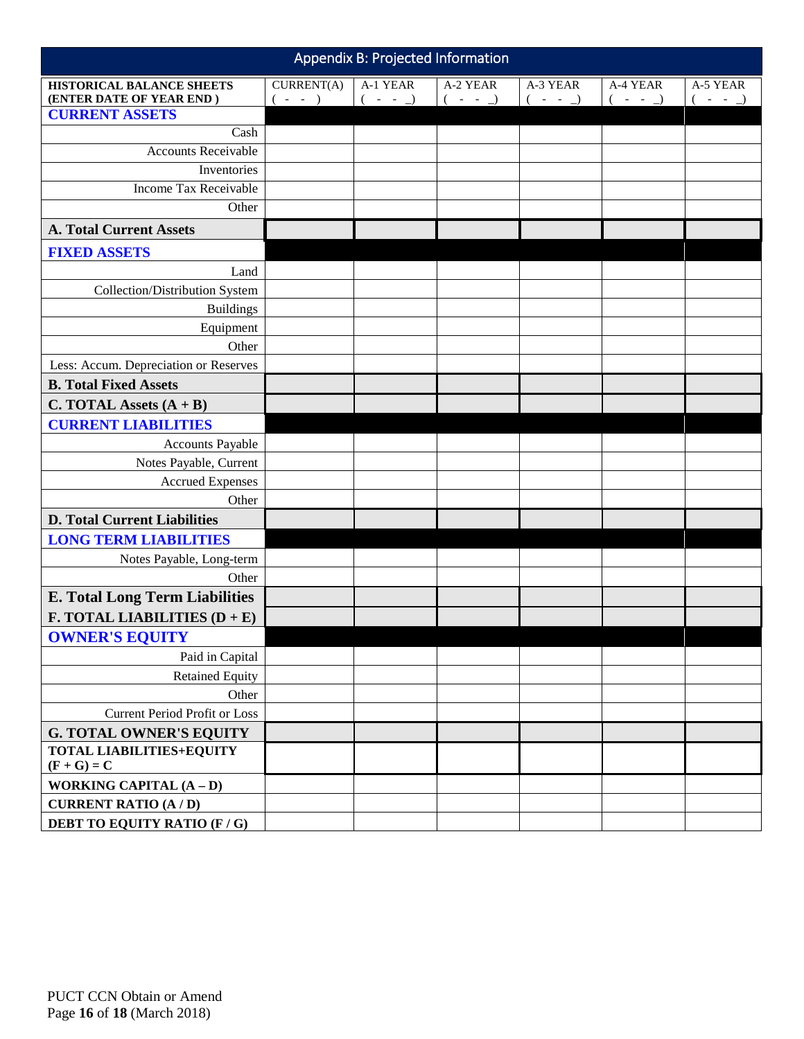<span id="page-15-0"></span>

| Appendix B: Projected Information                            |                         |                         |                         |                         |                       |                    |  |
|--------------------------------------------------------------|-------------------------|-------------------------|-------------------------|-------------------------|-----------------------|--------------------|--|
| <b>HISTORICAL BALANCE SHEETS</b><br>(ENTER DATE OF YEAR END) | CURRENT(A)<br>$( - - )$ | A-1 YEAR<br>$( - - - )$ | A-2 YEAR<br>$( - - - )$ | A-3 YEAR<br>$( - - - )$ | A-4 YEAR<br>$( - - )$ | A-5 YEAR<br>$-  )$ |  |
| <b>CURRENT ASSETS</b>                                        |                         |                         |                         |                         |                       |                    |  |
| Cash                                                         |                         |                         |                         |                         |                       |                    |  |
| <b>Accounts Receivable</b>                                   |                         |                         |                         |                         |                       |                    |  |
| Inventories                                                  |                         |                         |                         |                         |                       |                    |  |
| Income Tax Receivable                                        |                         |                         |                         |                         |                       |                    |  |
| Other                                                        |                         |                         |                         |                         |                       |                    |  |
| <b>A. Total Current Assets</b>                               |                         |                         |                         |                         |                       |                    |  |
| <b>FIXED ASSETS</b>                                          |                         |                         |                         |                         |                       |                    |  |
| Land                                                         |                         |                         |                         |                         |                       |                    |  |
| Collection/Distribution System                               |                         |                         |                         |                         |                       |                    |  |
| <b>Buildings</b>                                             |                         |                         |                         |                         |                       |                    |  |
| Equipment                                                    |                         |                         |                         |                         |                       |                    |  |
| Other                                                        |                         |                         |                         |                         |                       |                    |  |
| Less: Accum. Depreciation or Reserves                        |                         |                         |                         |                         |                       |                    |  |
| <b>B. Total Fixed Assets</b>                                 |                         |                         |                         |                         |                       |                    |  |
| C. TOTAL Assets $(A + B)$                                    |                         |                         |                         |                         |                       |                    |  |
| <b>CURRENT LIABILITIES</b>                                   |                         |                         |                         |                         |                       |                    |  |
| <b>Accounts Payable</b>                                      |                         |                         |                         |                         |                       |                    |  |
| Notes Payable, Current                                       |                         |                         |                         |                         |                       |                    |  |
| <b>Accrued Expenses</b>                                      |                         |                         |                         |                         |                       |                    |  |
| Other                                                        |                         |                         |                         |                         |                       |                    |  |
| <b>D. Total Current Liabilities</b>                          |                         |                         |                         |                         |                       |                    |  |
| <b>LONG TERM LIABILITIES</b>                                 |                         |                         |                         |                         |                       |                    |  |
| Notes Payable, Long-term                                     |                         |                         |                         |                         |                       |                    |  |
| Other                                                        |                         |                         |                         |                         |                       |                    |  |
| <b>E. Total Long Term Liabilities</b>                        |                         |                         |                         |                         |                       |                    |  |
| <b>F. TOTAL LIABILITIES <math>(D + E)</math></b>             |                         |                         |                         |                         |                       |                    |  |
| <b>OWNER'S EQUITY</b>                                        |                         |                         |                         |                         |                       |                    |  |
| Paid in Capital                                              |                         |                         |                         |                         |                       |                    |  |
| <b>Retained Equity</b>                                       |                         |                         |                         |                         |                       |                    |  |
| Other                                                        |                         |                         |                         |                         |                       |                    |  |
| <b>Current Period Profit or Loss</b>                         |                         |                         |                         |                         |                       |                    |  |
| <b>G. TOTAL OWNER'S EQUITY</b>                               |                         |                         |                         |                         |                       |                    |  |
| <b>TOTAL LIABILITIES+EQUITY</b><br>$(F + G) = C$             |                         |                         |                         |                         |                       |                    |  |
| WORKING CAPITAL $(A - D)$                                    |                         |                         |                         |                         |                       |                    |  |
| <b>CURRENT RATIO (A / D)</b>                                 |                         |                         |                         |                         |                       |                    |  |
| <b>DEBT TO EQUITY RATIO (F/G)</b>                            |                         |                         |                         |                         |                       |                    |  |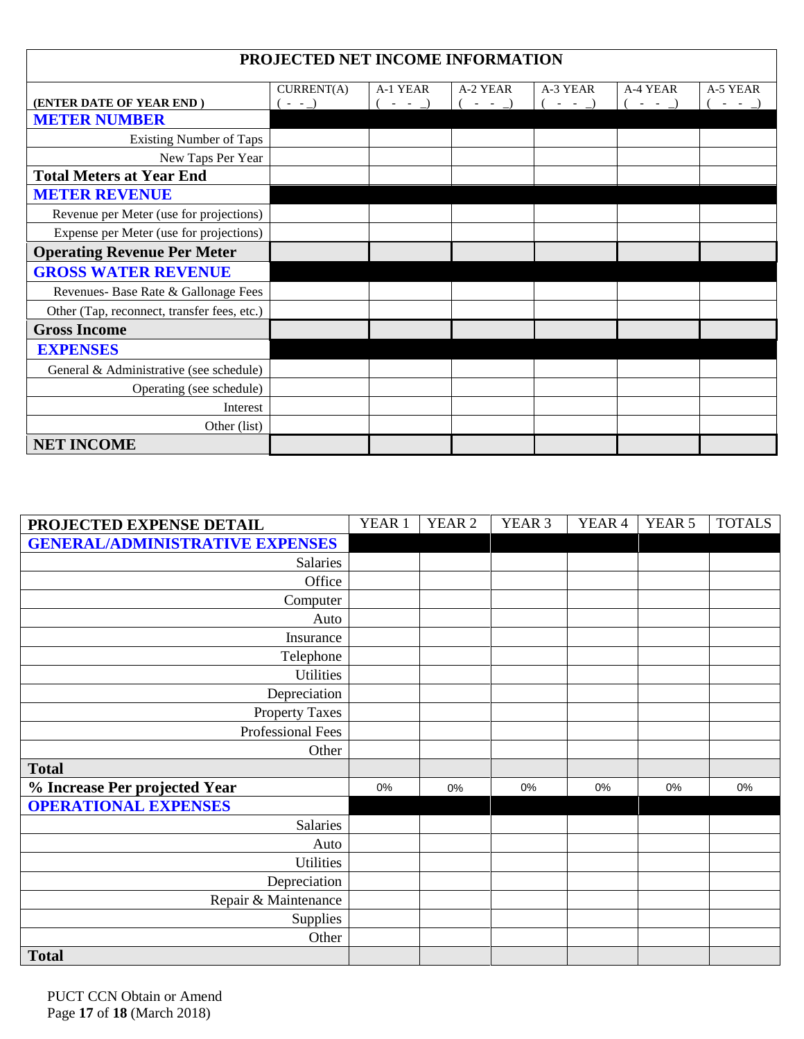| PROJECTED NET INCOME INFORMATION            |            |           |          |          |          |          |  |  |  |
|---------------------------------------------|------------|-----------|----------|----------|----------|----------|--|--|--|
|                                             |            |           |          |          |          |          |  |  |  |
|                                             | CURRENT(A) | A-1 YEAR  | A-2 YEAR | A-3 YEAR | A-4 YEAR | A-5 YEAR |  |  |  |
| (ENTER DATE OF YEAR END)                    | $- -$      | $( - - )$ | $-  )$   | $-  )$   | $-  )$   | $-  )$   |  |  |  |
| <b>METER NUMBER</b>                         |            |           |          |          |          |          |  |  |  |
| <b>Existing Number of Taps</b>              |            |           |          |          |          |          |  |  |  |
| New Taps Per Year                           |            |           |          |          |          |          |  |  |  |
| <b>Total Meters at Year End</b>             |            |           |          |          |          |          |  |  |  |
| <b>METER REVENUE</b>                        |            |           |          |          |          |          |  |  |  |
| Revenue per Meter (use for projections)     |            |           |          |          |          |          |  |  |  |
| Expense per Meter (use for projections)     |            |           |          |          |          |          |  |  |  |
| <b>Operating Revenue Per Meter</b>          |            |           |          |          |          |          |  |  |  |
| <b>GROSS WATER REVENUE</b>                  |            |           |          |          |          |          |  |  |  |
| Revenues- Base Rate & Gallonage Fees        |            |           |          |          |          |          |  |  |  |
| Other (Tap, reconnect, transfer fees, etc.) |            |           |          |          |          |          |  |  |  |
| <b>Gross Income</b>                         |            |           |          |          |          |          |  |  |  |
| <b>EXPENSES</b>                             |            |           |          |          |          |          |  |  |  |
| General & Administrative (see schedule)     |            |           |          |          |          |          |  |  |  |
| Operating (see schedule)                    |            |           |          |          |          |          |  |  |  |
| Interest                                    |            |           |          |          |          |          |  |  |  |
| Other (list)                                |            |           |          |          |          |          |  |  |  |
| <b>NET INCOME</b>                           |            |           |          |          |          |          |  |  |  |

| PROJECTED EXPENSE DETAIL               | YEAR 1 | YEAR 2 | YEAR <sub>3</sub> | YEAR <sub>4</sub> | YEAR 5 | <b>TOTALS</b> |
|----------------------------------------|--------|--------|-------------------|-------------------|--------|---------------|
| <b>GENERAL/ADMINISTRATIVE EXPENSES</b> |        |        |                   |                   |        |               |
| <b>Salaries</b>                        |        |        |                   |                   |        |               |
| Office                                 |        |        |                   |                   |        |               |
| Computer                               |        |        |                   |                   |        |               |
| Auto                                   |        |        |                   |                   |        |               |
| Insurance                              |        |        |                   |                   |        |               |
| Telephone                              |        |        |                   |                   |        |               |
| <b>Utilities</b>                       |        |        |                   |                   |        |               |
| Depreciation                           |        |        |                   |                   |        |               |
| <b>Property Taxes</b>                  |        |        |                   |                   |        |               |
| Professional Fees                      |        |        |                   |                   |        |               |
| Other                                  |        |        |                   |                   |        |               |
| <b>Total</b>                           |        |        |                   |                   |        |               |
| % Increase Per projected Year          | 0%     | 0%     | 0%                | 0%                | 0%     | 0%            |
| <b>OPERATIONAL EXPENSES</b>            |        |        |                   |                   |        |               |
| Salaries                               |        |        |                   |                   |        |               |
| Auto                                   |        |        |                   |                   |        |               |
| Utilities                              |        |        |                   |                   |        |               |
| Depreciation                           |        |        |                   |                   |        |               |
| Repair & Maintenance                   |        |        |                   |                   |        |               |
| Supplies                               |        |        |                   |                   |        |               |
| Other                                  |        |        |                   |                   |        |               |
| <b>Total</b>                           |        |        |                   |                   |        |               |